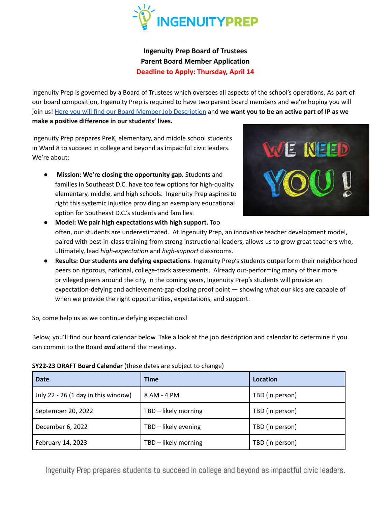

**Ingenuity Prep Board of Trustees Parent Board Member Application Deadline to Apply: Thursday, April 14**

Ingenuity Prep is governed by a Board of Trustees which oversees all aspects of the school's operations. As part of our board composition, Ingenuity Prep is required to have two parent board members and we're hoping you will join us! Here you will find our Board Member Job [Description](https://docs.google.com/document/d/107c35ahG7ac3lwVRQKSSgxkwiAhzmN0zg477AJGSG2w/edit?usp=sharing) and **we want you to be an active part of IP as we make a positive difference in our students' lives.**

Ingenuity Prep prepares PreK, elementary, and middle school students in Ward 8 to succeed in college and beyond as impactful civic leaders. We're about:

● **Mission: We're closing the opportunity gap.** Students and families in Southeast D.C. have too few options for high-quality elementary, middle, and high schools. Ingenuity Prep aspires to right this systemic injustice providing an exemplary educational option for Southeast D.C.'s students and families.



- **Model: We pair high expectations with high support.** Too often, our students are underestimated. At Ingenuity Prep, an innovative teacher development model, paired with best-in-class training from strong instructional leaders, allows us to grow great teachers who, ultimately, lead *high-expectation* and *high-support* classrooms.
- **Results: Our students are defying expectations**. Ingenuity Prep's students outperform their neighborhood peers on rigorous, national, college-track assessments. Already out-performing many of their more privileged peers around the city, in the coming years, Ingenuity Prep's students will provide an expectation-defying and achievement-gap-closing proof point — showing what our kids are capable of when we provide the right opportunities, expectations, and support.

So, come help us as we continue defying expectations**!**

Below, you'll find our board calendar below. Take a look at the job description and calendar to determine if you can commit to the Board *and* attend the meetings.

|  | SY22-23 DRAFT Board Calendar (these dates are subject to change) |
|--|------------------------------------------------------------------|
|--|------------------------------------------------------------------|

| <b>Date</b>                         | <b>Time</b>          | Location        |
|-------------------------------------|----------------------|-----------------|
| July 22 - 26 (1 day in this window) | 8 AM - 4 PM          | TBD (in person) |
| September 20, 2022                  | TBD - likely morning | TBD (in person) |
| December 6, 2022                    | TBD - likely evening | TBD (in person) |
| February 14, 2023                   | TBD - likely morning | TBD (in person) |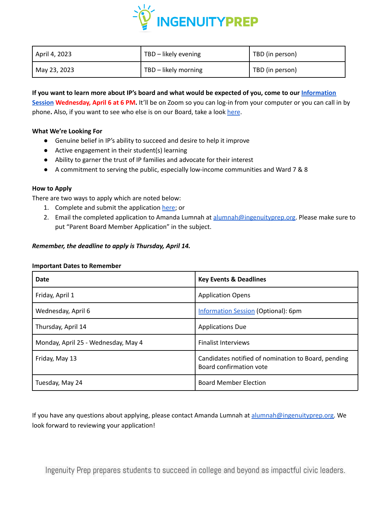

| April 4, 2023 | TBD - likely evening | TBD (in person) |
|---------------|----------------------|-----------------|
| May 23, 2023  | TBD - likely morning | TBD (in person) |

If you want to learn more about IP's board and what would be expected of you, come to our [Information](https://ingenuityprep-org.zoom.us/j/88405284572?pwd=Q3ErcG91TFpEMmplNzc2SllGLzdMZz09) **[Session](https://ingenuityprep-org.zoom.us/j/88405284572?pwd=Q3ErcG91TFpEMmplNzc2SllGLzdMZz09) Wednesday, April 6 at 6 PM.** It'll be on Zoom so you can log-in from your computer or you can call in by phone. Also, if you want to see who else is on our Board, take a look [here](http://www.ingenuityprep.org/about-ingenuity-prep/board/).

# **What We're Looking For**

- Genuine belief in IP's ability to succeed and desire to help it improve
- Active engagement in their student(s) learning
- Ability to garner the trust of IP families and advocate for their interest
- A commitment to serving the public, especially low-income communities and Ward 7 & 8

## **How to Apply**

There are two ways to apply which are noted below:

- 1. Complete and submit the application [here](https://docs.google.com/forms/d/e/1FAIpQLSfaObK4_W5nca7y1vH-qSo6PetCqONxLG1mUuKTpTAxB_dgNw/viewform); or
- 2. Email the completed application to Amanda Lumnah at [alumnah@ingenuityprep.org.](mailto:alumnah@ingenuityprep.org) Please make sure to put "Parent Board Member Application" in the subject.

## *Remember, the deadline to apply is Thursday, April 14.*

#### **Important Dates to Remember**

| <b>Date</b>                         | <b>Key Events &amp; Deadlines</b>                                              |
|-------------------------------------|--------------------------------------------------------------------------------|
| Friday, April 1                     | <b>Application Opens</b>                                                       |
| Wednesday, April 6                  | <b>Information Session (Optional): 6pm</b>                                     |
| Thursday, April 14                  | <b>Applications Due</b>                                                        |
| Monday, April 25 - Wednesday, May 4 | <b>Finalist Interviews</b>                                                     |
| Friday, May 13                      | Candidates notified of nomination to Board, pending<br>Board confirmation vote |
| Tuesday, May 24                     | <b>Board Member Election</b>                                                   |

If you have any questions about applying, please contact Amanda Lumnah at [alumnah@ingenuityprep.org.](mailto:alumnah@ingenuityprep.org) We look forward to reviewing your application!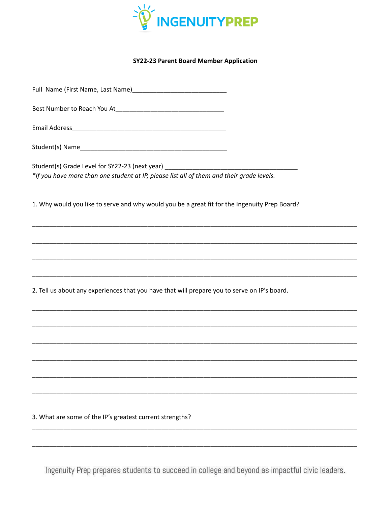

#### **SY22-23 Parent Board Member Application**

Best Number to Reach You At Number 1 2012

Student(s) Grade Level for SY22-23 (next year) \*If you have more than one student at IP, please list all of them and their grade levels.

1. Why would you like to serve and why would you be a great fit for the Ingenuity Prep Board?

2. Tell us about any experiences that you have that will prepare you to serve on IP's board.

3. What are some of the IP's greatest current strengths?